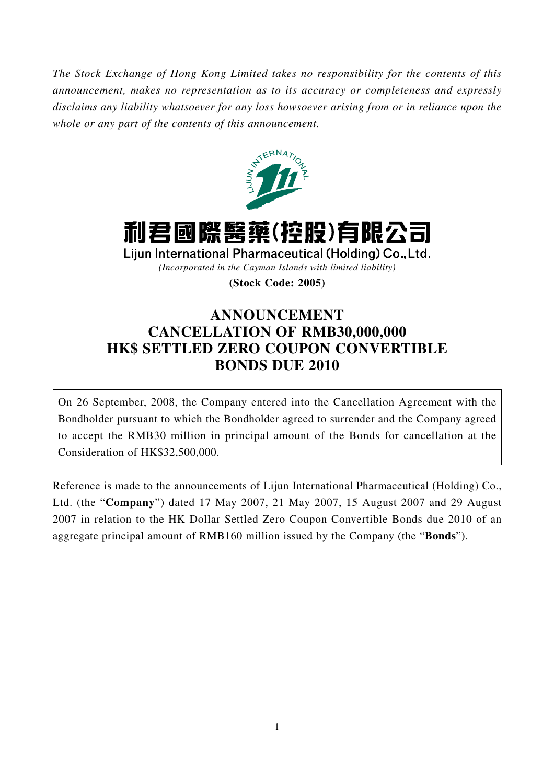*The Stock Exchange of Hong Kong Limited takes no responsibility for the contents of this announcement, makes no representation as to its accuracy or completeness and expressly disclaims any liability whatsoever for any loss howsoever arising from or in reliance upon the whole or any part of the contents of this announcement.*



# 利君國際醫藥(控股)有限公司

Lijun International Pharmaceutical (Holding) Co., Ltd.

*(Incorporated in the Cayman Islands with limited liability)*

**(Stock Code: 2005)**

## **ANNOUNCEMENT CANCELLATION OF RMB30,000,000 HK\$ SETTLED ZERO COUPON CONVERTIBLE BONDS DUE 2010**

On 26 September, 2008, the Company entered into the Cancellation Agreement with the Bondholder pursuant to which the Bondholder agreed to surrender and the Company agreed to accept the RMB30 million in principal amount of the Bonds for cancellation at the Consideration of HK\$32,500,000.

Reference is made to the announcements of Lijun International Pharmaceutical (Holding) Co., Ltd. (the "**Company**") dated 17 May 2007, 21 May 2007, 15 August 2007 and 29 August 2007 in relation to the HK Dollar Settled Zero Coupon Convertible Bonds due 2010 of an aggregate principal amount of RMB160 million issued by the Company (the "**Bonds**").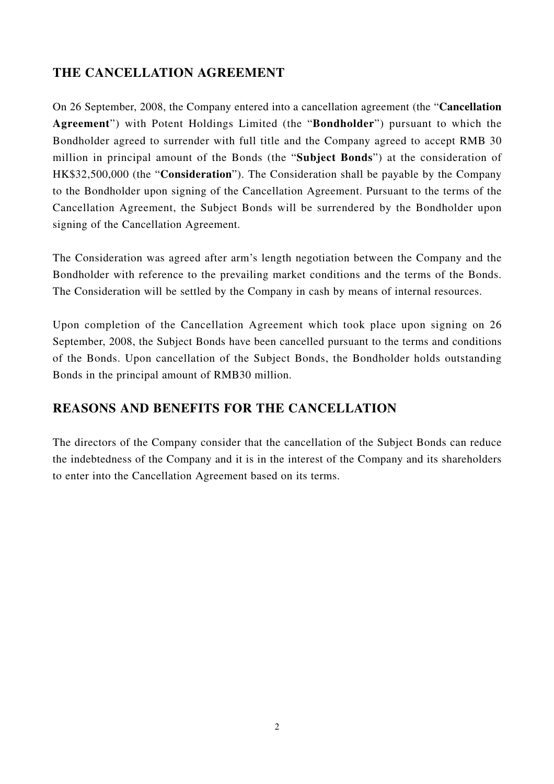#### **THE CANCELLATION AGREEMENT**

On 26 September, 2008, the Company entered into a cancellation agreement (the "**Cancellation Agreement**") with Potent Holdings Limited (the "**Bondholder**") pursuant to which the Bondholder agreed to surrender with full title and the Company agreed to accept RMB 30 million in principal amount of the Bonds (the "**Subject Bonds**") at the consideration of HK\$32,500,000 (the "**Consideration**"). The Consideration shall be payable by the Company to the Bondholder upon signing of the Cancellation Agreement. Pursuant to the terms of the Cancellation Agreement, the Subject Bonds will be surrendered by the Bondholder upon signing of the Cancellation Agreement.

The Consideration was agreed after arm's length negotiation between the Company and the Bondholder with reference to the prevailing market conditions and the terms of the Bonds. The Consideration will be settled by the Company in cash by means of internal resources.

Upon completion of the Cancellation Agreement which took place upon signing on 26 September, 2008, the Subject Bonds have been cancelled pursuant to the terms and conditions of the Bonds. Upon cancellation of the Subject Bonds, the Bondholder holds outstanding Bonds in the principal amount of RMB30 million.

### **REASONS AND BENEFITS FOR THE CANCELLATION**

The directors of the Company consider that the cancellation of the Subject Bonds can reduce the indebtedness of the Company and it is in the interest of the Company and its shareholders to enter into the Cancellation Agreement based on its terms.